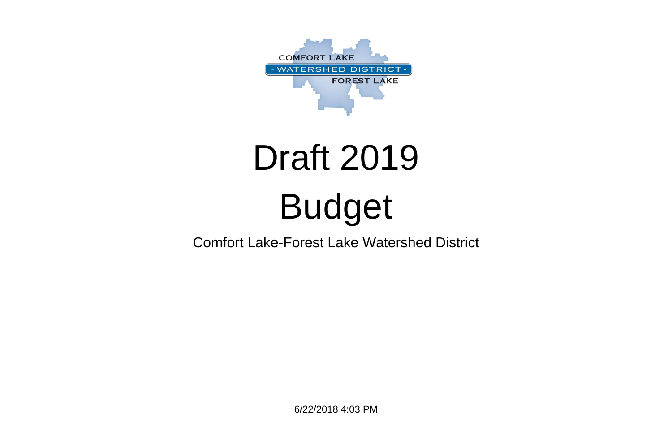6/22/2018 4:03 PM



## Draft 2019 Budget

Comfort Lake-Forest Lake Watershed District